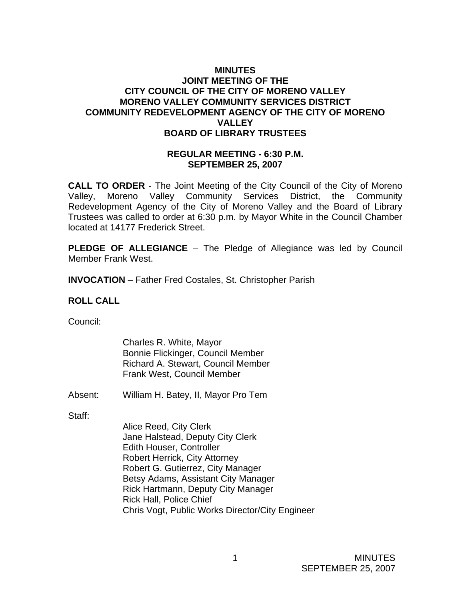# **MINUTES JOINT MEETING OF THE CITY COUNCIL OF THE CITY OF MORENO VALLEY MORENO VALLEY COMMUNITY SERVICES DISTRICT COMMUNITY REDEVELOPMENT AGENCY OF THE CITY OF MORENO VALLEY BOARD OF LIBRARY TRUSTEES**

#### **REGULAR MEETING - 6:30 P.M. SEPTEMBER 25, 2007**

**CALL TO ORDER** - The Joint Meeting of the City Council of the City of Moreno Valley, Moreno Valley Community Services District, the Community Redevelopment Agency of the City of Moreno Valley and the Board of Library Trustees was called to order at 6:30 p.m. by Mayor White in the Council Chamber located at 14177 Frederick Street.

**PLEDGE OF ALLEGIANCE** – The Pledge of Allegiance was led by Council Member Frank West.

**INVOCATION** – Father Fred Costales, St. Christopher Parish

### **ROLL CALL**

Council:

Charles R. White, Mayor Bonnie Flickinger, Council Member Richard A. Stewart, Council Member Frank West, Council Member

Absent: William H. Batey, II, Mayor Pro Tem

Staff:

Alice Reed, City Clerk Jane Halstead, Deputy City Clerk Edith Houser, Controller Robert Herrick, City Attorney Robert G. Gutierrez, City Manager Betsy Adams, Assistant City Manager Rick Hartmann, Deputy City Manager Rick Hall, Police Chief Chris Vogt, Public Works Director/City Engineer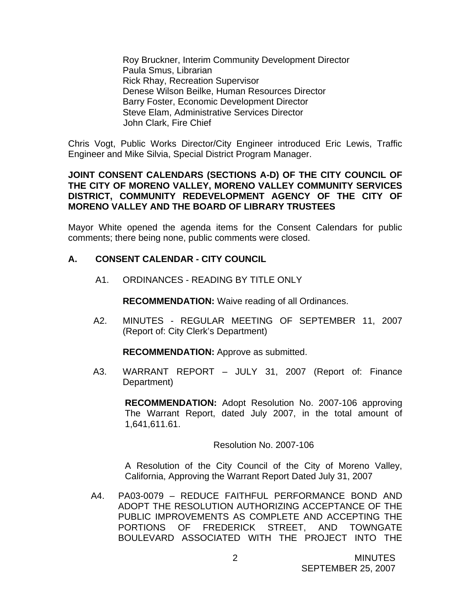Roy Bruckner, Interim Community Development Director Paula Smus, Librarian Rick Rhay, Recreation Supervisor Denese Wilson Beilke, Human Resources Director Barry Foster, Economic Development Director Steve Elam, Administrative Services Director John Clark, Fire Chief

Chris Vogt, Public Works Director/City Engineer introduced Eric Lewis, Traffic Engineer and Mike Silvia, Special District Program Manager.

#### **JOINT CONSENT CALENDARS (SECTIONS A-D) OF THE CITY COUNCIL OF THE CITY OF MORENO VALLEY, MORENO VALLEY COMMUNITY SERVICES DISTRICT, COMMUNITY REDEVELOPMENT AGENCY OF THE CITY OF MORENO VALLEY AND THE BOARD OF LIBRARY TRUSTEES**

Mayor White opened the agenda items for the Consent Calendars for public comments; there being none, public comments were closed.

# **A. CONSENT CALENDAR - CITY COUNCIL**

A1. ORDINANCES - READING BY TITLE ONLY

 **RECOMMENDATION:** Waive reading of all Ordinances.

 A2. MINUTES - REGULAR MEETING OF SEPTEMBER 11, 2007 (Report of: City Clerk's Department)

**RECOMMENDATION:** Approve as submitted.

A3. WARRANT REPORT – JULY 31, 2007 (Report of: Finance Department)

> **RECOMMENDATION:** Adopt Resolution No. 2007-106 approving The Warrant Report, dated July 2007, in the total amount of 1,641,611.61.

> > Resolution No. 2007-106

A Resolution of the City Council of the City of Moreno Valley, California, Approving the Warrant Report Dated July 31, 2007

A4. PA03-0079 – REDUCE FAITHFUL PERFORMANCE BOND AND ADOPT THE RESOLUTION AUTHORIZING ACCEPTANCE OF THE PUBLIC IMPROVEMENTS AS COMPLETE AND ACCEPTING THE PORTIONS OF FREDERICK STREET, AND TOWNGATE BOULEVARD ASSOCIATED WITH THE PROJECT INTO THE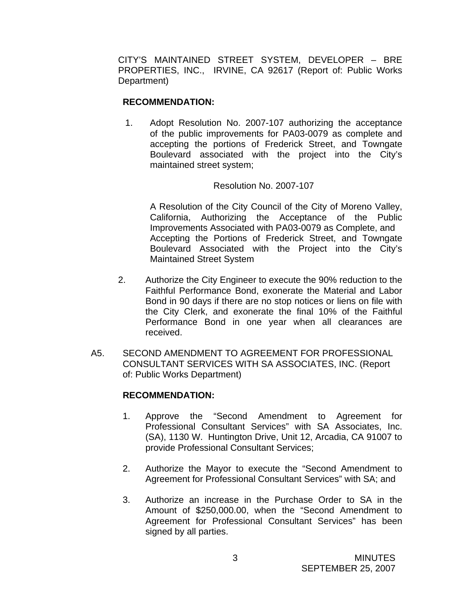CITY'S MAINTAINED STREET SYSTEM, DEVELOPER – BRE PROPERTIES, INC., IRVINE, CA 92617 (Report of: Public Works Department)

#### **RECOMMENDATION:**

1. Adopt Resolution No. 2007-107 authorizing the acceptance of the public improvements for PA03-0079 as complete and accepting the portions of Frederick Street, and Towngate Boulevard associated with the project into the City's maintained street system;

#### Resolution No. 2007-107

 A Resolution of the City Council of the City of Moreno Valley, California, Authorizing the Acceptance of the Public Improvements Associated with PA03-0079 as Complete, and Accepting the Portions of Frederick Street, and Towngate Boulevard Associated with the Project into the City's Maintained Street System

- 2. Authorize the City Engineer to execute the 90% reduction to the Faithful Performance Bond, exonerate the Material and Labor Bond in 90 days if there are no stop notices or liens on file with the City Clerk, and exonerate the final 10% of the Faithful Performance Bond in one year when all clearances are received.
- A5. SECOND AMENDMENT TO AGREEMENT FOR PROFESSIONAL CONSULTANT SERVICES WITH SA ASSOCIATES, INC. (Report of: Public Works Department)

### **RECOMMENDATION:**

- 1. Approve the "Second Amendment to Agreement for Professional Consultant Services" with SA Associates, Inc. (SA), 1130 W. Huntington Drive, Unit 12, Arcadia, CA 91007 to provide Professional Consultant Services;
- 2. Authorize the Mayor to execute the "Second Amendment to Agreement for Professional Consultant Services" with SA; and
- 3. Authorize an increase in the Purchase Order to SA in the Amount of \$250,000.00, when the "Second Amendment to Agreement for Professional Consultant Services" has been signed by all parties.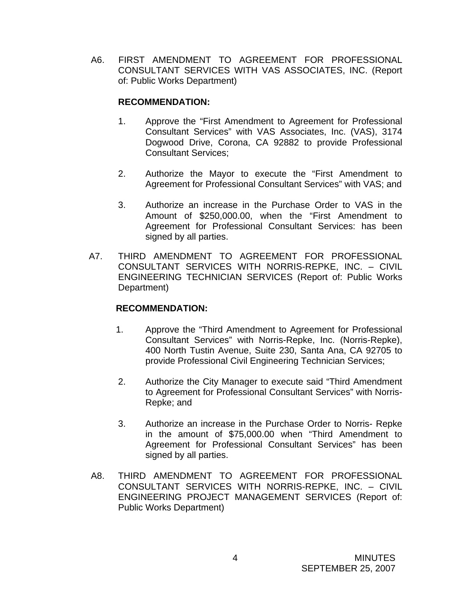A6. FIRST AMENDMENT TO AGREEMENT FOR PROFESSIONAL CONSULTANT SERVICES WITH VAS ASSOCIATES, INC. (Report of: Public Works Department)

# **RECOMMENDATION:**

- 1. Approve the "First Amendment to Agreement for Professional Consultant Services" with VAS Associates, Inc. (VAS), 3174 Dogwood Drive, Corona, CA 92882 to provide Professional Consultant Services;
- 2. Authorize the Mayor to execute the "First Amendment to Agreement for Professional Consultant Services" with VAS; and
- 3. Authorize an increase in the Purchase Order to VAS in the Amount of \$250,000.00, when the "First Amendment to Agreement for Professional Consultant Services: has been signed by all parties.
- A7. THIRD AMENDMENT TO AGREEMENT FOR PROFESSIONAL CONSULTANT SERVICES WITH NORRIS-REPKE, INC. – CIVIL ENGINEERING TECHNICIAN SERVICES (Report of: Public Works Department)

# **RECOMMENDATION:**

- 1. Approve the "Third Amendment to Agreement for Professional Consultant Services" with Norris-Repke, Inc. (Norris-Repke), 400 North Tustin Avenue, Suite 230, Santa Ana, CA 92705 to provide Professional Civil Engineering Technician Services;
- 2. Authorize the City Manager to execute said "Third Amendment to Agreement for Professional Consultant Services" with Norris-Repke; and
- 3. Authorize an increase in the Purchase Order to Norris- Repke in the amount of \$75,000.00 when "Third Amendment to Agreement for Professional Consultant Services" has been signed by all parties.
- A8. THIRD AMENDMENT TO AGREEMENT FOR PROFESSIONAL CONSULTANT SERVICES WITH NORRIS-REPKE, INC. – CIVIL ENGINEERING PROJECT MANAGEMENT SERVICES (Report of: Public Works Department)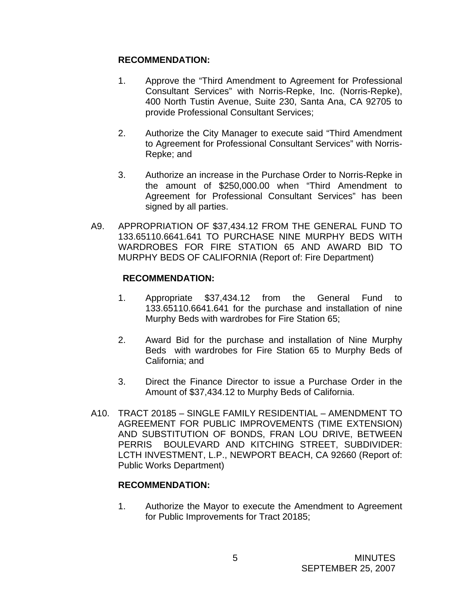# **RECOMMENDATION:**

- 1. Approve the "Third Amendment to Agreement for Professional Consultant Services" with Norris-Repke, Inc. (Norris-Repke), 400 North Tustin Avenue, Suite 230, Santa Ana, CA 92705 to provide Professional Consultant Services;
- 2. Authorize the City Manager to execute said "Third Amendment to Agreement for Professional Consultant Services" with Norris-Repke; and
- 3. Authorize an increase in the Purchase Order to Norris-Repke in the amount of \$250,000.00 when "Third Amendment to Agreement for Professional Consultant Services" has been signed by all parties.
- A9. APPROPRIATION OF \$37,434.12 FROM THE GENERAL FUND TO 133.65110.6641.641 TO PURCHASE NINE MURPHY BEDS WITH WARDROBES FOR FIRE STATION 65 AND AWARD BID TO MURPHY BEDS OF CALIFORNIA (Report of: Fire Department)

# **RECOMMENDATION:**

- 1. Appropriate \$37,434.12 from the General Fund to 133.65110.6641.641 for the purchase and installation of nine Murphy Beds with wardrobes for Fire Station 65;
- 2. Award Bid for the purchase and installation of Nine Murphy Beds with wardrobes for Fire Station 65 to Murphy Beds of California; and
- 3. Direct the Finance Director to issue a Purchase Order in the Amount of \$37,434.12 to Murphy Beds of California.
- A10. TRACT 20185 SINGLE FAMILY RESIDENTIAL AMENDMENT TO AGREEMENT FOR PUBLIC IMPROVEMENTS (TIME EXTENSION) AND SUBSTITUTION OF BONDS, FRAN LOU DRIVE, BETWEEN PERRIS BOULEVARD AND KITCHING STREET, SUBDIVIDER: LCTH INVESTMENT, L.P., NEWPORT BEACH, CA 92660 (Report of: Public Works Department)

### **RECOMMENDATION:**

1. Authorize the Mayor to execute the Amendment to Agreement for Public Improvements for Tract 20185;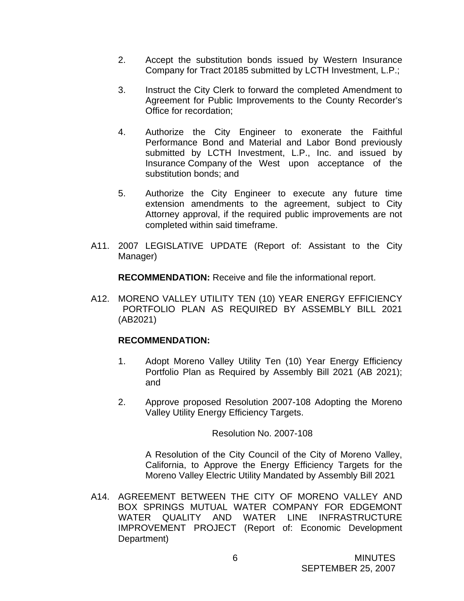- 2. Accept the substitution bonds issued by Western Insurance Company for Tract 20185 submitted by LCTH Investment, L.P.;
- 3. Instruct the City Clerk to forward the completed Amendment to Agreement for Public Improvements to the County Recorder's Office for recordation;
- 4. Authorize the City Engineer to exonerate the Faithful Performance Bond and Material and Labor Bond previously submitted by LCTH Investment, L.P., Inc. and issued by Insurance Company of the West upon acceptance of the substitution bonds; and
- 5. Authorize the City Engineer to execute any future time extension amendments to the agreement, subject to City Attorney approval, if the required public improvements are not completed within said timeframe.
- A11. 2007 LEGISLATIVE UPDATE (Report of: Assistant to the City Manager)

**RECOMMENDATION:** Receive and file the informational report.

A12. MORENO VALLEY UTILITY TEN (10) YEAR ENERGY EFFICIENCY PORTFOLIO PLAN AS REQUIRED BY ASSEMBLY BILL 2021 (AB2021)

#### **RECOMMENDATION:**

- 1. Adopt Moreno Valley Utility Ten (10) Year Energy Efficiency Portfolio Plan as Required by Assembly Bill 2021 (AB 2021); and
- 2. Approve proposed Resolution 2007-108 Adopting the Moreno Valley Utility Energy Efficiency Targets.

Resolution No. 2007-108

 A Resolution of the City Council of the City of Moreno Valley, California, to Approve the Energy Efficiency Targets for the Moreno Valley Electric Utility Mandated by Assembly Bill 2021

A14. AGREEMENT BETWEEN THE CITY OF MORENO VALLEY AND BOX SPRINGS MUTUAL WATER COMPANY FOR EDGEMONT WATER QUALITY AND WATER LINE INFRASTRUCTURE IMPROVEMENT PROJECT (Report of: Economic Development Department)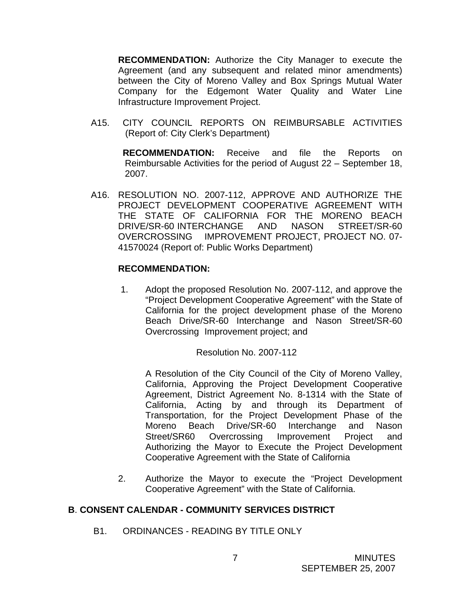**RECOMMENDATION:** Authorize the City Manager to execute the Agreement (and any subsequent and related minor amendments) between the City of Moreno Valley and Box Springs Mutual Water Company for the Edgemont Water Quality and Water Line Infrastructure Improvement Project.

A15. CITY COUNCIL REPORTS ON REIMBURSABLE ACTIVITIES (Report of: City Clerk's Department)

> **RECOMMENDATION:** Receive and file the Reports on Reimbursable Activities for the period of August 22 – September 18, 2007.

A16. RESOLUTION NO. 2007-112, APPROVE AND AUTHORIZE THE PROJECT DEVELOPMENT COOPERATIVE AGREEMENT WITH THE STATE OF CALIFORNIA FOR THE MORENO BEACH DRIVE/SR-60 INTERCHANGE AND NASON STREET/SR-60 OVERCROSSING IMPROVEMENT PROJECT, PROJECT NO. 07- 41570024 (Report of: Public Works Department)

### **RECOMMENDATION:**

 1. Adopt the proposed Resolution No. 2007-112, and approve the "Project Development Cooperative Agreement" with the State of California for the project development phase of the Moreno Beach Drive/SR-60 Interchange and Nason Street/SR-60 Overcrossing Improvement project; and

#### Resolution No. 2007-112

A Resolution of the City Council of the City of Moreno Valley, California, Approving the Project Development Cooperative Agreement, District Agreement No. 8-1314 with the State of California, Acting by and through its Department of Transportation, for the Project Development Phase of the Moreno Beach Drive/SR-60 Interchange and Nason Street/SR60 Overcrossing Improvement Project and Authorizing the Mayor to Execute the Project Development Cooperative Agreement with the State of California

2. Authorize the Mayor to execute the "Project Development Cooperative Agreement" with the State of California.

### **B**. **CONSENT CALENDAR - COMMUNITY SERVICES DISTRICT**

B1. ORDINANCES - READING BY TITLE ONLY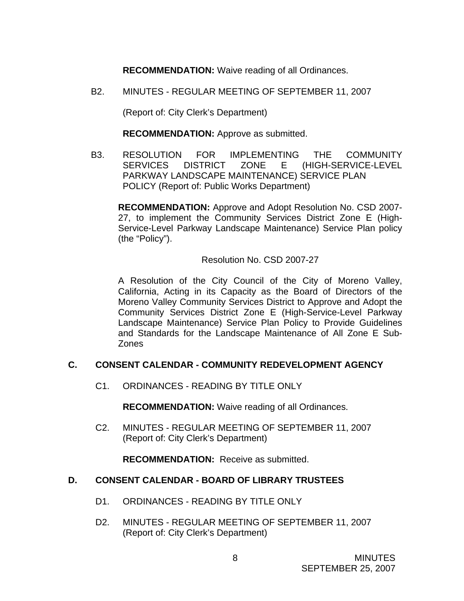**RECOMMENDATION:** Waive reading of all Ordinances.

B2. MINUTES - REGULAR MEETING OF SEPTEMBER 11, 2007

(Report of: City Clerk's Department)

**RECOMMENDATION:** Approve as submitted.

B3. RESOLUTION FOR IMPLEMENTING THE COMMUNITY SERVICES DISTRICT ZONE E (HIGH-SERVICE-LEVEL PARKWAY LANDSCAPE MAINTENANCE) SERVICE PLAN POLICY (Report of: Public Works Department)

**RECOMMENDATION:** Approve and Adopt Resolution No. CSD 2007- 27, to implement the Community Services District Zone E (High-Service-Level Parkway Landscape Maintenance) Service Plan policy (the "Policy").

Resolution No. CSD 2007-27

A Resolution of the City Council of the City of Moreno Valley, California, Acting in its Capacity as the Board of Directors of the Moreno Valley Community Services District to Approve and Adopt the Community Services District Zone E (High-Service-Level Parkway Landscape Maintenance) Service Plan Policy to Provide Guidelines and Standards for the Landscape Maintenance of All Zone E Sub-Zones

### **C. CONSENT CALENDAR - COMMUNITY REDEVELOPMENT AGENCY**

C1. ORDINANCES - READING BY TITLE ONLY

**RECOMMENDATION:** Waive reading of all Ordinances.

 C2. MINUTES - REGULAR MEETING OF SEPTEMBER 11, 2007 (Report of: City Clerk's Department)

**RECOMMENDATION:** Receive as submitted.

### **D. CONSENT CALENDAR - BOARD OF LIBRARY TRUSTEES**

- D1. ORDINANCES READING BY TITLE ONLY
- D2. MINUTES REGULAR MEETING OF SEPTEMBER 11, 2007 (Report of: City Clerk's Department)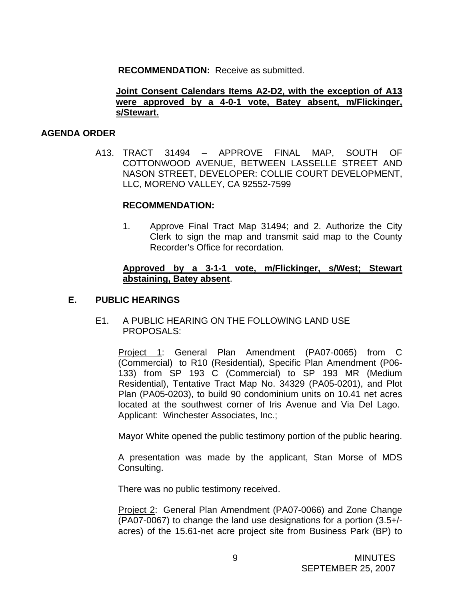**RECOMMENDATION:** Receive as submitted.

#### **Joint Consent Calendars Items A2-D2, with the exception of A13 were approved by a 4-0-1 vote, Batey absent, m/Flickinger, s/Stewart.**

#### **AGENDA ORDER**

A13. TRACT 31494 – APPROVE FINAL MAP, SOUTH OF COTTONWOOD AVENUE, BETWEEN LASSELLE STREET AND NASON STREET, DEVELOPER: COLLIE COURT DEVELOPMENT, LLC, MORENO VALLEY, CA 92552-7599

#### **RECOMMENDATION:**

1. Approve Final Tract Map 31494; and 2. Authorize the City Clerk to sign the map and transmit said map to the County Recorder's Office for recordation.

### **Approved by a 3-1-1 vote, m/Flickinger, s/West; Stewart abstaining, Batey absent**.

### **E. PUBLIC HEARINGS**

### E1. A PUBLIC HEARING ON THE FOLLOWING LAND USE PROPOSALS:

Project 1: General Plan Amendment (PA07-0065) from C (Commercial) to R10 (Residential), Specific Plan Amendment (P06- 133) from SP 193 C (Commercial) to SP 193 MR (Medium Residential), Tentative Tract Map No. 34329 (PA05-0201), and Plot Plan (PA05-0203), to build 90 condominium units on 10.41 net acres located at the southwest corner of Iris Avenue and Via Del Lago. Applicant: Winchester Associates, Inc.;

Mayor White opened the public testimony portion of the public hearing.

A presentation was made by the applicant, Stan Morse of MDS Consulting.

There was no public testimony received.

Project 2: General Plan Amendment (PA07-0066) and Zone Change (PA07-0067) to change the land use designations for a portion (3.5+/ acres) of the 15.61-net acre project site from Business Park (BP) to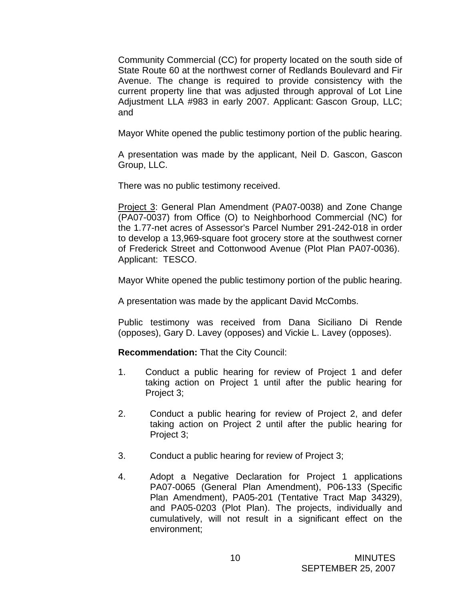Community Commercial (CC) for property located on the south side of State Route 60 at the northwest corner of Redlands Boulevard and Fir Avenue. The change is required to provide consistency with the current property line that was adjusted through approval of Lot Line Adjustment LLA #983 in early 2007. Applicant: Gascon Group, LLC; and

Mayor White opened the public testimony portion of the public hearing.

A presentation was made by the applicant, Neil D. Gascon, Gascon Group, LLC.

There was no public testimony received.

Project 3: General Plan Amendment (PA07-0038) and Zone Change (PA07-0037) from Office (O) to Neighborhood Commercial (NC) for the 1.77-net acres of Assessor's Parcel Number 291-242-018 in order to develop a 13,969-square foot grocery store at the southwest corner of Frederick Street and Cottonwood Avenue (Plot Plan PA07-0036). Applicant: TESCO.

Mayor White opened the public testimony portion of the public hearing.

A presentation was made by the applicant David McCombs.

Public testimony was received from Dana Siciliano Di Rende (opposes), Gary D. Lavey (opposes) and Vickie L. Lavey (opposes).

**Recommendation:** That the City Council:

- 1. Conduct a public hearing for review of Project 1 and defer taking action on Project 1 until after the public hearing for Project 3;
- 2. Conduct a public hearing for review of Project 2, and defer taking action on Project 2 until after the public hearing for Project 3;
- 3. Conduct a public hearing for review of Project 3;
- 4. Adopt a Negative Declaration for Project 1 applications PA07-0065 (General Plan Amendment), P06-133 (Specific Plan Amendment), PA05-201 (Tentative Tract Map 34329), and PA05-0203 (Plot Plan). The projects, individually and cumulatively, will not result in a significant effect on the environment;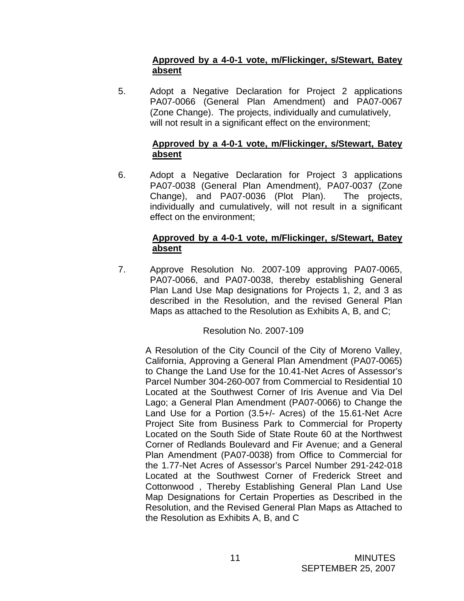# **Approved by a 4-0-1 vote, m/Flickinger, s/Stewart, Batey absent**

5. Adopt a Negative Declaration for Project 2 applications PA07-0066 (General Plan Amendment) and PA07-0067 (Zone Change). The projects, individually and cumulatively, will not result in a significant effect on the environment;

# **Approved by a 4-0-1 vote, m/Flickinger, s/Stewart, Batey absent**

6. Adopt a Negative Declaration for Project 3 applications PA07-0038 (General Plan Amendment), PA07-0037 (Zone Change), and PA07-0036 (Plot Plan). The projects, individually and cumulatively, will not result in a significant effect on the environment;

# **Approved by a 4-0-1 vote, m/Flickinger, s/Stewart, Batey absent**

7. Approve Resolution No. 2007-109 approving PA07-0065, PA07-0066, and PA07-0038, thereby establishing General Plan Land Use Map designations for Projects 1, 2, and 3 as described in the Resolution, and the revised General Plan Maps as attached to the Resolution as Exhibits A, B, and C;

# Resolution No. 2007-109

 A Resolution of the City Council of the City of Moreno Valley, California, Approving a General Plan Amendment (PA07-0065) to Change the Land Use for the 10.41-Net Acres of Assessor's Parcel Number 304-260-007 from Commercial to Residential 10 Located at the Southwest Corner of Iris Avenue and Via Del Lago; a General Plan Amendment (PA07-0066) to Change the Land Use for a Portion (3.5+/- Acres) of the 15.61-Net Acre Project Site from Business Park to Commercial for Property Located on the South Side of State Route 60 at the Northwest Corner of Redlands Boulevard and Fir Avenue; and a General Plan Amendment (PA07-0038) from Office to Commercial for the 1.77-Net Acres of Assessor's Parcel Number 291-242-018 Located at the Southwest Corner of Frederick Street and Cottonwood , Thereby Establishing General Plan Land Use Map Designations for Certain Properties as Described in the Resolution, and the Revised General Plan Maps as Attached to the Resolution as Exhibits A, B, and C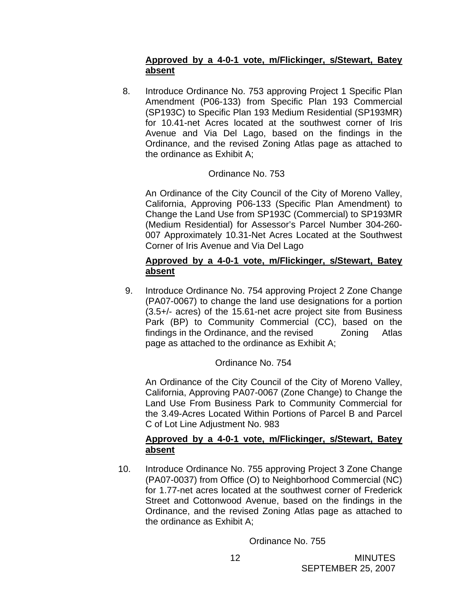# **Approved by a 4-0-1 vote, m/Flickinger, s/Stewart, Batey absent**

 8. Introduce Ordinance No. 753 approving Project 1 Specific Plan Amendment (P06-133) from Specific Plan 193 Commercial (SP193C) to Specific Plan 193 Medium Residential (SP193MR) for 10.41-net Acres located at the southwest corner of Iris Avenue and Via Del Lago, based on the findings in the Ordinance, and the revised Zoning Atlas page as attached to the ordinance as Exhibit A;

# Ordinance No. 753

An Ordinance of the City Council of the City of Moreno Valley, California, Approving P06-133 (Specific Plan Amendment) to Change the Land Use from SP193C (Commercial) to SP193MR (Medium Residential) for Assessor's Parcel Number 304-260- 007 Approximately 10.31-Net Acres Located at the Southwest Corner of Iris Avenue and Via Del Lago

### **Approved by a 4-0-1 vote, m/Flickinger, s/Stewart, Batey absent**

9. Introduce Ordinance No. 754 approving Project 2 Zone Change (PA07-0067) to change the land use designations for a portion (3.5+/- acres) of the 15.61-net acre project site from Business Park (BP) to Community Commercial (CC), based on the findings in the Ordinance, and the revised Zoning Atlas page as attached to the ordinance as Exhibit A;

# Ordinance No. 754

 An Ordinance of the City Council of the City of Moreno Valley, California, Approving PA07-0067 (Zone Change) to Change the Land Use From Business Park to Community Commercial for the 3.49-Acres Located Within Portions of Parcel B and Parcel C of Lot Line Adjustment No. 983

# **Approved by a 4-0-1 vote, m/Flickinger, s/Stewart, Batey absent**

10. Introduce Ordinance No. 755 approving Project 3 Zone Change (PA07-0037) from Office (O) to Neighborhood Commercial (NC) for 1.77-net acres located at the southwest corner of Frederick Street and Cottonwood Avenue, based on the findings in the Ordinance, and the revised Zoning Atlas page as attached to the ordinance as Exhibit A;

Ordinance No. 755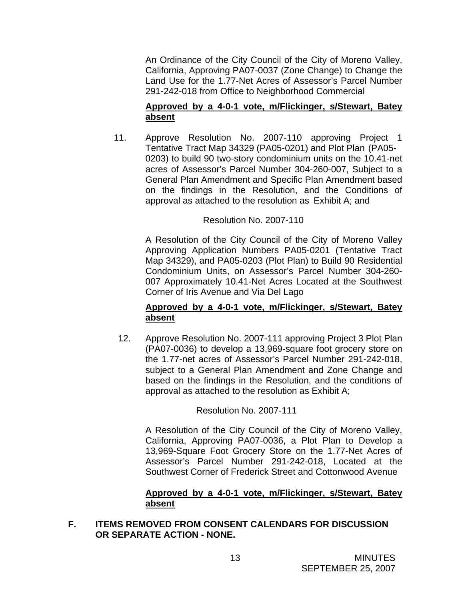An Ordinance of the City Council of the City of Moreno Valley, California, Approving PA07-0037 (Zone Change) to Change the Land Use for the 1.77-Net Acres of Assessor's Parcel Number 291-242-018 from Office to Neighborhood Commercial

# **Approved by a 4-0-1 vote, m/Flickinger, s/Stewart, Batey absent**

11. Approve Resolution No. 2007-110 approving Project 1 Tentative Tract Map 34329 (PA05-0201) and Plot Plan (PA05- 0203) to build 90 two-story condominium units on the 10.41-net acres of Assessor's Parcel Number 304-260-007, Subject to a General Plan Amendment and Specific Plan Amendment based on the findings in the Resolution, and the Conditions of approval as attached to the resolution as Exhibit A; and

# Resolution No. 2007-110

A Resolution of the City Council of the City of Moreno Valley Approving Application Numbers PA05-0201 (Tentative Tract Map 34329), and PA05-0203 (Plot Plan) to Build 90 Residential Condominium Units, on Assessor's Parcel Number 304-260- 007 Approximately 10.41-Net Acres Located at the Southwest Corner of Iris Avenue and Via Del Lago

# **Approved by a 4-0-1 vote, m/Flickinger, s/Stewart, Batey absent**

12. Approve Resolution No. 2007-111 approving Project 3 Plot Plan (PA07-0036) to develop a 13,969-square foot grocery store on the 1.77-net acres of Assessor's Parcel Number 291-242-018, subject to a General Plan Amendment and Zone Change and based on the findings in the Resolution, and the conditions of approval as attached to the resolution as Exhibit A;

Resolution No. 2007-111

A Resolution of the City Council of the City of Moreno Valley, California, Approving PA07-0036, a Plot Plan to Develop a 13,969-Square Foot Grocery Store on the 1.77-Net Acres of Assessor's Parcel Number 291-242-018, Located at the Southwest Corner of Frederick Street and Cottonwood Avenue

### **Approved by a 4-0-1 vote, m/Flickinger, s/Stewart, Batey absent**

# **F. ITEMS REMOVED FROM CONSENT CALENDARS FOR DISCUSSION OR SEPARATE ACTION - NONE.**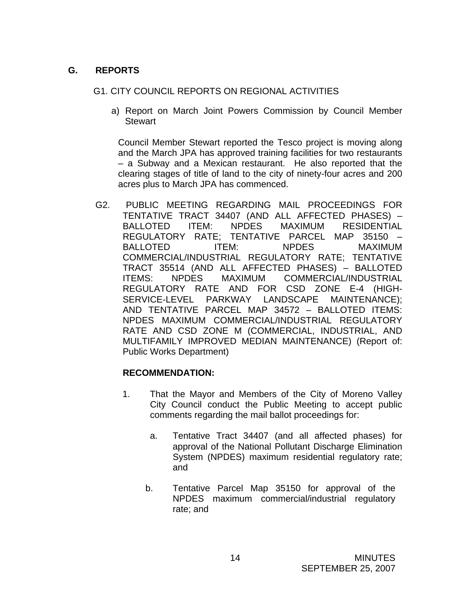# **G. REPORTS**

# G1. CITY COUNCIL REPORTS ON REGIONAL ACTIVITIES

a) Report on March Joint Powers Commission by Council Member **Stewart** 

Council Member Stewart reported the Tesco project is moving along and the March JPA has approved training facilities for two restaurants – a Subway and a Mexican restaurant. He also reported that the clearing stages of title of land to the city of ninety-four acres and 200 acres plus to March JPA has commenced.

G2. PUBLIC MEETING REGARDING MAIL PROCEEDINGS FOR TENTATIVE TRACT 34407 (AND ALL AFFECTED PHASES) – BALLOTED ITEM: NPDES MAXIMUM RESIDENTIAL REGULATORY RATE; TENTATIVE PARCEL MAP 35150 – BALLOTED ITEM: NPDES MAXIMUM COMMERCIAL/INDUSTRIAL REGULATORY RATE; TENTATIVE TRACT 35514 (AND ALL AFFECTED PHASES) – BALLOTED ITEMS: NPDES MAXIMUM COMMERCIAL/INDUSTRIAL REGULATORY RATE AND FOR CSD ZONE E-4 (HIGH- SERVICE-LEVEL PARKWAY LANDSCAPE MAINTENANCE); AND TENTATIVE PARCEL MAP 34572 – BALLOTED ITEMS: NPDES MAXIMUM COMMERCIAL/INDUSTRIAL REGULATORY RATE AND CSD ZONE M (COMMERCIAL, INDUSTRIAL, AND MULTIFAMILY IMPROVED MEDIAN MAINTENANCE) (Report of: Public Works Department)

# **RECOMMENDATION:**

- 1. That the Mayor and Members of the City of Moreno Valley City Council conduct the Public Meeting to accept public comments regarding the mail ballot proceedings for:
	- a. Tentative Tract 34407 (and all affected phases) for approval of the National Pollutant Discharge Elimination System (NPDES) maximum residential regulatory rate; and
	- b. Tentative Parcel Map 35150 for approval of the NPDES maximum commercial/industrial regulatory rate; and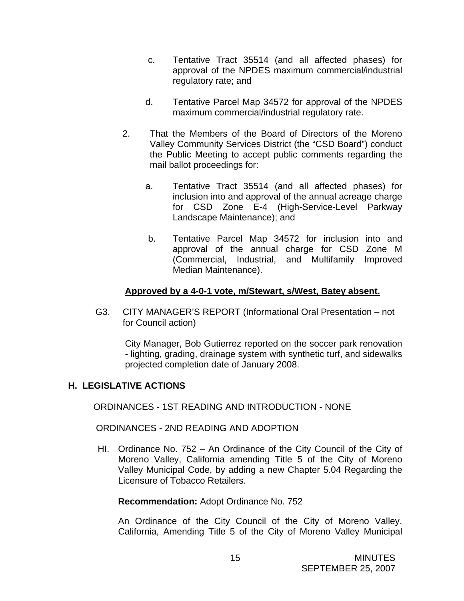- c. Tentative Tract 35514 (and all affected phases) for approval of the NPDES maximum commercial/industrial regulatory rate; and
- d. Tentative Parcel Map 34572 for approval of the NPDES maximum commercial/industrial regulatory rate.
- 2. That the Members of the Board of Directors of the Moreno Valley Community Services District (the "CSD Board") conduct the Public Meeting to accept public comments regarding the mail ballot proceedings for:
	- a. Tentative Tract 35514 (and all affected phases) for inclusion into and approval of the annual acreage charge for CSD Zone E-4 (High-Service-Level Parkway Landscape Maintenance); and
	- b. Tentative Parcel Map 34572 for inclusion into and approval of the annual charge for CSD Zone M (Commercial, Industrial, and Multifamily Improved Median Maintenance).

# **Approved by a 4-0-1 vote, m/Stewart, s/West, Batey absent.**

 G3. CITY MANAGER'S REPORT (Informational Oral Presentation – not for Council action)

City Manager, Bob Gutierrez reported on the soccer park renovation - lighting, grading, drainage system with synthetic turf, and sidewalks projected completion date of January 2008.

# **H. LEGISLATIVE ACTIONS**

ORDINANCES - 1ST READING AND INTRODUCTION - NONE

### ORDINANCES - 2ND READING AND ADOPTION

HI. Ordinance No. 752 – An Ordinance of the City Council of the City of Moreno Valley, California amending Title 5 of the City of Moreno Valley Municipal Code, by adding a new Chapter 5.04 Regarding the Licensure of Tobacco Retailers.

### **Recommendation:** Adopt Ordinance No. 752

An Ordinance of the City Council of the City of Moreno Valley, California, Amending Title 5 of the City of Moreno Valley Municipal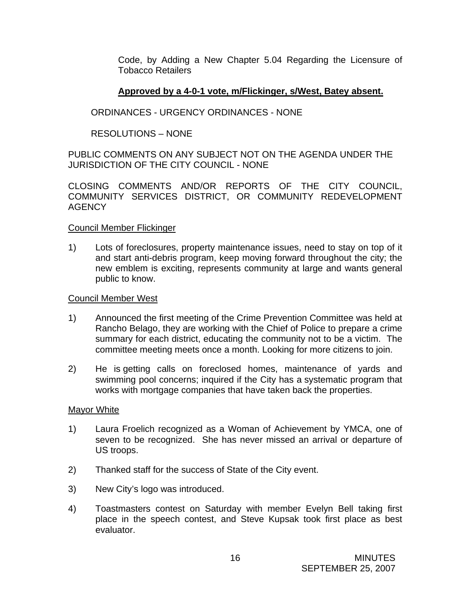Code, by Adding a New Chapter 5.04 Regarding the Licensure of Tobacco Retailers

### **Approved by a 4-0-1 vote, m/Flickinger, s/West, Batey absent.**

# ORDINANCES - URGENCY ORDINANCES - NONE

# RESOLUTIONS – NONE

PUBLIC COMMENTS ON ANY SUBJECT NOT ON THE AGENDA UNDER THE JURISDICTION OF THE CITY COUNCIL - NONE

CLOSING COMMENTS AND/OR REPORTS OF THE CITY COUNCIL, COMMUNITY SERVICES DISTRICT, OR COMMUNITY REDEVELOPMENT AGENCY

### Council Member Flickinger

1) Lots of foreclosures, property maintenance issues, need to stay on top of it and start anti-debris program, keep moving forward throughout the city; the new emblem is exciting, represents community at large and wants general public to know.

### Council Member West

- 1) Announced the first meeting of the Crime Prevention Committee was held at Rancho Belago, they are working with the Chief of Police to prepare a crime summary for each district, educating the community not to be a victim. The committee meeting meets once a month. Looking for more citizens to join.
- 2) He is getting calls on foreclosed homes, maintenance of yards and swimming pool concerns; inquired if the City has a systematic program that works with mortgage companies that have taken back the properties.

### Mayor White

- 1) Laura Froelich recognized as a Woman of Achievement by YMCA, one of seven to be recognized. She has never missed an arrival or departure of US troops.
- 2) Thanked staff for the success of State of the City event.
- 3) New City's logo was introduced.
- 4) Toastmasters contest on Saturday with member Evelyn Bell taking first place in the speech contest, and Steve Kupsak took first place as best evaluator.